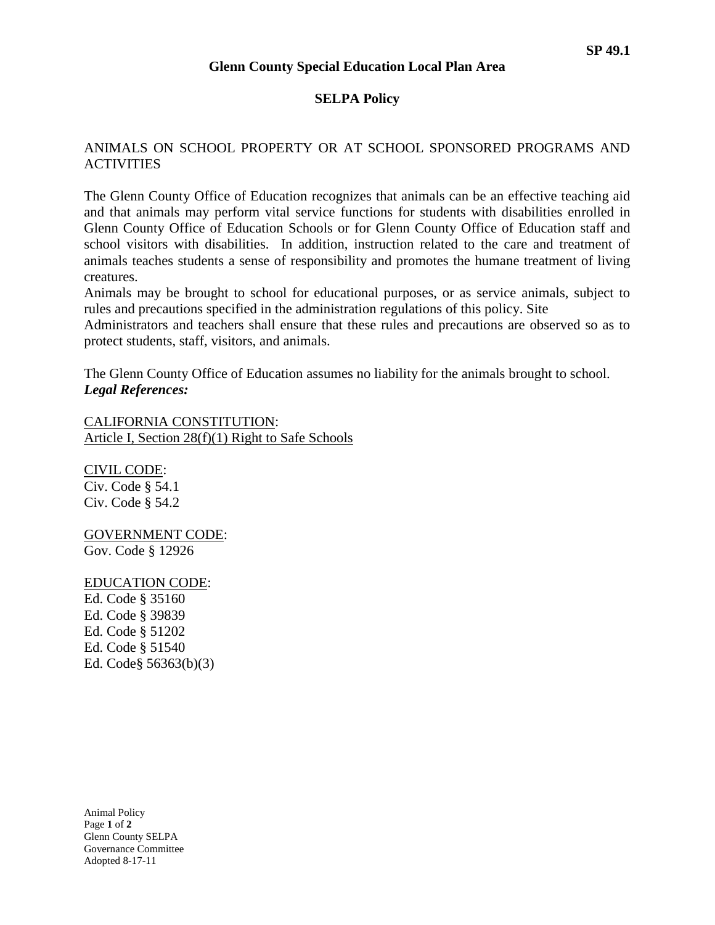#### **Glenn County Special Education Local Plan Area**

### **SELPA Policy**

## ANIMALS ON SCHOOL PROPERTY OR AT SCHOOL SPONSORED PROGRAMS AND **ACTIVITIES**

The Glenn County Office of Education recognizes that animals can be an effective teaching aid and that animals may perform vital service functions for students with disabilities enrolled in Glenn County Office of Education Schools or for Glenn County Office of Education staff and school visitors with disabilities. In addition, instruction related to the care and treatment of animals teaches students a sense of responsibility and promotes the humane treatment of living creatures.

Animals may be brought to school for educational purposes, or as service animals, subject to rules and precautions specified in the administration regulations of this policy. Site

Administrators and teachers shall ensure that these rules and precautions are observed so as to protect students, staff, visitors, and animals.

The Glenn County Office of Education assumes no liability for the animals brought to school. *Legal References:*

CALIFORNIA CONSTITUTION: Article I, Section 28(f)(1) Right to Safe Schools

CIVIL CODE: Civ. Code § 54.1 Civ. Code § 54.2

# GOVERNMENT CODE:

Gov. Code § 12926

### EDUCATION CODE:

Ed. Code § 35160 Ed. Code § 39839 Ed. Code § 51202 Ed. Code § 51540 Ed. Code§ 56363(b)(3)

Animal Policy Page **1** of **2** Glenn County SELPA Governance Committee Adopted 8-17-11